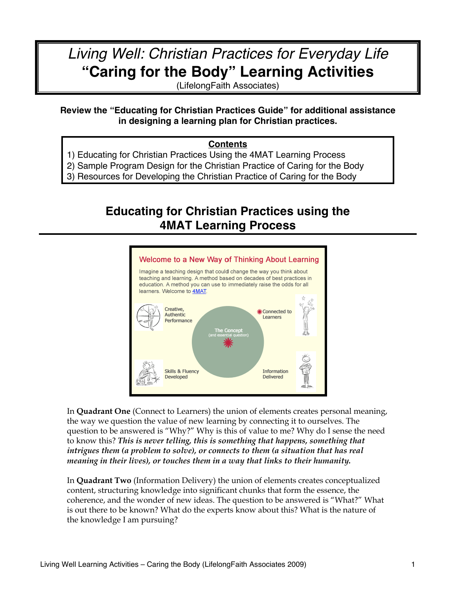# *Living Well: Christian Practices for Everyday Life* **"Caring for the Body" Learning Activities**

(LifelongFaith Associates)

#### **Review the "Educating for Christian Practices Guide" for additional assistance in designing a learning plan for Christian practices.**

#### **Contents**

- 1) Educating for Christian Practices Using the 4MAT Learning Process
- 2) Sample Program Design for the Christian Practice of Caring for the Body
- 3) Resources for Developing the Christian Practice of Caring for the Body

# **Educating for Christian Practices using the 4MAT Learning Process**



In **Quadrant One** (Connect to Learners) the union of elements creates personal meaning, the way we question the value of new learning by connecting it to ourselves. The question to be answered is "Why?" Why is this of value to me? Why do I sense the need to know this? *This is never telling, this is something that happens, something that intrigues them (a problem to solve), or connects to them (a situation that has real meaning in their lives), or touches them in a way that links to their humanity.*

In **Quadrant Two** (Information Delivery) the union of elements creates conceptualized content, structuring knowledge into significant chunks that form the essence, the coherence, and the wonder of new ideas. The question to be answered is "What?" What is out there to be known? What do the experts know about this? What is the nature of the knowledge I am pursuing?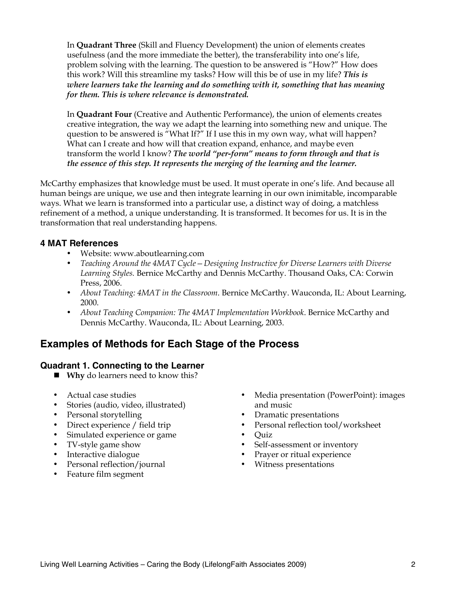In **Quadrant Three** (Skill and Fluency Development) the union of elements creates usefulness (and the more immediate the better), the transferability into one's life, problem solving with the learning. The question to be answered is "How?" How does this work? Will this streamline my tasks? How will this be of use in my life? *This is where learners take the learning and do something with it, something that has meaning for them. This is where relevance is demonstrated.* 

In **Quadrant Four** (Creative and Authentic Performance), the union of elements creates creative integration, the way we adapt the learning into something new and unique. The question to be answered is "What If?" If I use this in my own way, what will happen? What can I create and how will that creation expand, enhance, and maybe even transform the world I know? *The world "per-form" means to form through and that is the essence of this step. It represents the merging of the learning and the learner.*

McCarthy emphasizes that knowledge must be used. It must operate in one's life. And because all human beings are unique, we use and then integrate learning in our own inimitable, incomparable ways. What we learn is transformed into a particular use, a distinct way of doing, a matchless refinement of a method, a unique understanding. It is transformed. It becomes for us. It is in the transformation that real understanding happens.

#### **4 MAT References**

- Website: www.aboutlearning.com
- *Teaching Around the 4MAT Cycle—Designing Instructive for Diverse Learners with Diverse Learning Styles.* Bernice McCarthy and Dennis McCarthy. Thousand Oaks, CA: Corwin Press, 2006.
- *About Teaching: 4MAT in the Classroom*. Bernice McCarthy. Wauconda, IL: About Learning, 2000.
- *About Teaching Companion: The 4MAT Implementation Workbook*. Bernice McCarthy and Dennis McCarthy. Wauconda, IL: About Learning, 2003.

## **Examples of Methods for Each Stage of the Process**

#### **Quadrant 1. Connecting to the Learner**

- **Why** do learners need to know this?
- Actual case studies
- Stories (audio, video, illustrated)
- Personal storytelling
- Direct experience / field trip
- Simulated experience or game
- TV-style game show
- Interactive dialogue
- Personal reflection/journal
- Feature film segment
- Media presentation (PowerPoint): images and music
- Dramatic presentations
- Personal reflection tool/worksheet
- Quiz
- Self-assessment or inventory<br>• Praver or ritual experience
- Prayer or ritual experience
- Witness presentations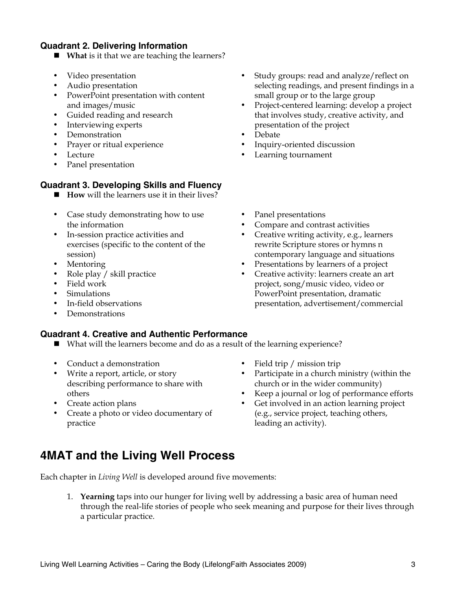#### **Quadrant 2. Delivering Information**

- **What** is it that we are teaching the learners?
- Video presentation
- Audio presentation
- PowerPoint presentation with content and images/music
- Guided reading and research
- Interviewing experts
- Demonstration
- Prayer or ritual experience
- **Lecture**
- Panel presentation

#### **Quadrant 3. Developing Skills and Fluency**

- **How** will the learners use it in their lives?
- Case study demonstrating how to use the information
- In-session practice activities and exercises (specific to the content of the session)
- **Mentoring**
- Role play / skill practice
- Field work
- Simulations
- In-field observations
- Demonstrations

#### **Quadrant 4. Creative and Authentic Performance**

- What will the learners become and do as a result of the learning experience?
- Conduct a demonstration
- Write a report, article, or story describing performance to share with others
- Create action plans
- Create a photo or video documentary of practice
- Field trip / mission trip
- Participate in a church ministry (within the church or in the wider community)
- Keep a journal or log of performance efforts
- Get involved in an action learning project (e.g., service project, teaching others, leading an activity).

# **4MAT and the Living Well Process**

Each chapter in *Living Well* is developed around five movements:

1. **Yearning** taps into our hunger for living well by addressing a basic area of human need through the real-life stories of people who seek meaning and purpose for their lives through a particular practice.

- Study groups: read and analyze/reflect on selecting readings, and present findings in a small group or to the large group
- Project-centered learning: develop a project that involves study, creative activity, and presentation of the project
- Debate
- Inquiry-oriented discussion
- Learning tournament
- Panel presentations
- Compare and contrast activities
- Creative writing activity, e.g., learners rewrite Scripture stores or hymns n contemporary language and situations
- Presentations by learners of a project
- Creative activity: learners create an art project, song/music video, video or PowerPoint presentation, dramatic presentation, advertisement/commercial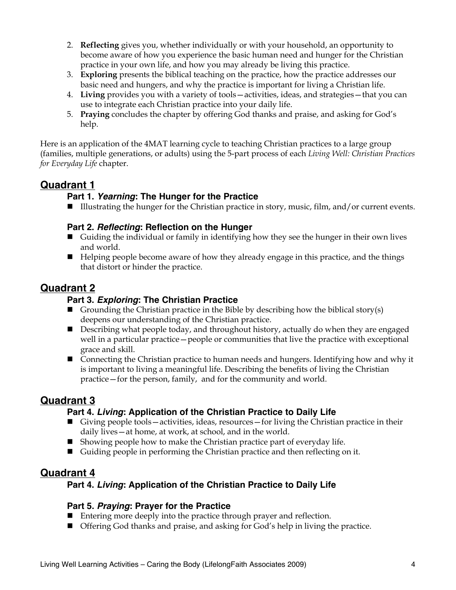- 2. **Reflecting** gives you, whether individually or with your household, an opportunity to become aware of how you experience the basic human need and hunger for the Christian practice in your own life, and how you may already be living this practice.
- 3. **Exploring** presents the biblical teaching on the practice, how the practice addresses our basic need and hungers, and why the practice is important for living a Christian life.
- 4. **Living** provides you with a variety of tools—activities, ideas, and strategies—that you can use to integrate each Christian practice into your daily life.
- 5. **Praying** concludes the chapter by offering God thanks and praise, and asking for God's help.

Here is an application of the 4MAT learning cycle to teaching Christian practices to a large group (families, multiple generations, or adults) using the 5-part process of each *Living Well: Christian Practices for Everyday Life* chapter.

## **Quadrant 1**

#### **Part 1.** *Yearning***: The Hunger for the Practice**

Illustrating the hunger for the Christian practice in story, music, film, and/or current events.

#### **Part 2.** *Reflecting***: Reflection on the Hunger**

- Guiding the individual or family in identifying how they see the hunger in their own lives and world.
- Helping people become aware of how they already engage in this practice, and the things that distort or hinder the practice.

## **Quadrant 2**

### **Part 3.** *Exploring***: The Christian Practice**

- Grounding the Christian practice in the Bible by describing how the biblical story(s) deepens our understanding of the Christian practice.
- **Describing what people today, and throughout history, actually do when they are engaged** well in a particular practice—people or communities that live the practice with exceptional grace and skill.
- Connecting the Christian practice to human needs and hungers. Identifying how and why it is important to living a meaningful life. Describing the benefits of living the Christian practice—for the person, family, and for the community and world.

## **Quadrant 3**

#### **Part 4.** *Living***: Application of the Christian Practice to Daily Life**

- Giving people tools—activities, ideas, resources—for living the Christian practice in their daily lives—at home, at work, at school, and in the world.
- $\blacksquare$  Showing people how to make the Christian practice part of everyday life.
- Guiding people in performing the Christian practice and then reflecting on it.

## **Quadrant 4**

### **Part 4.** *Living***: Application of the Christian Practice to Daily Life**

#### **Part 5.** *Praying***: Prayer for the Practice**

- Entering more deeply into the practice through prayer and reflection.
- Offering God thanks and praise, and asking for God's help in living the practice.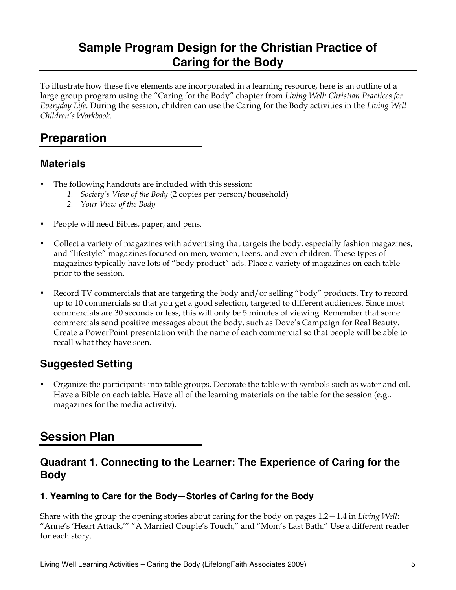# **Sample Program Design for the Christian Practice of Caring for the Body**

To illustrate how these five elements are incorporated in a learning resource, here is an outline of a large group program using the "Caring for the Body" chapter from *Living Well: Christian Practices for Everyday Life*. During the session, children can use the Caring for the Body activities in the *Living Well Children's Workbook.* 

# **Preparation**

# **Materials**

- The following handouts are included with this session:
	- *1. Society's View of the Body* (2 copies per person/household)
	- *2. Your View of the Body*
- People will need Bibles, paper, and pens.
- Collect a variety of magazines with advertising that targets the body, especially fashion magazines, and "lifestyle" magazines focused on men, women, teens, and even children. These types of magazines typically have lots of "body product" ads. Place a variety of magazines on each table prior to the session.
- Record TV commercials that are targeting the body and/or selling "body" products. Try to record up to 10 commercials so that you get a good selection, targeted to different audiences. Since most commercials are 30 seconds or less, this will only be 5 minutes of viewing. Remember that some commercials send positive messages about the body, such as Dove's Campaign for Real Beauty. Create a PowerPoint presentation with the name of each commercial so that people will be able to recall what they have seen.

# **Suggested Setting**

• Organize the participants into table groups. Decorate the table with symbols such as water and oil. Have a Bible on each table. Have all of the learning materials on the table for the session (e.g., magazines for the media activity).

# **Session Plan**

## **Quadrant 1. Connecting to the Learner: The Experience of Caring for the Body**

### **1. Yearning to Care for the Body—Stories of Caring for the Body**

Share with the group the opening stories about caring for the body on pages 1.2—1.4 in *Living Well*: "Anne's 'Heart Attack,'" "A Married Couple's Touch," and "Mom's Last Bath." Use a different reader for each story.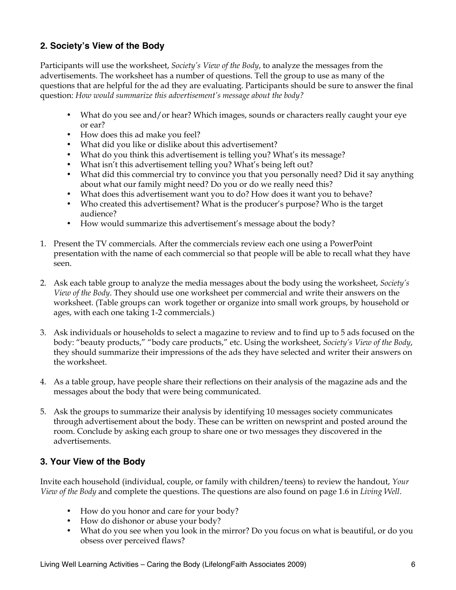### **2. Society's View of the Body**

Participants will use the worksheet, *Society's View of the Body*, to analyze the messages from the advertisements. The worksheet has a number of questions. Tell the group to use as many of the questions that are helpful for the ad they are evaluating. Participants should be sure to answer the final question: *How would summarize this advertisement's message about the body?*

- What do you see and/or hear? Which images, sounds or characters really caught your eye or ear?
- How does this ad make you feel?
- What did you like or dislike about this advertisement?
- What do you think this advertisement is telling you? What's its message?
- What isn't this advertisement telling you? What's being left out?
- What did this commercial try to convince you that you personally need? Did it say anything about what our family might need? Do you or do we really need this?
- What does this advertisement want you to do? How does it want you to behave?
- Who created this advertisement? What is the producer's purpose? Who is the target audience?
- How would summarize this advertisement's message about the body?
- 1. Present the TV commercials. After the commercials review each one using a PowerPoint presentation with the name of each commercial so that people will be able to recall what they have seen.
- 2. Ask each table group to analyze the media messages about the body using the worksheet, *Society's View of the Body*. They should use one worksheet per commercial and write their answers on the worksheet. (Table groups can work together or organize into small work groups, by household or ages, with each one taking 1-2 commercials.)
- 3. Ask individuals or households to select a magazine to review and to find up to 5 ads focused on the body: "beauty products," "body care products," etc. Using the worksheet, *Society's View of the Body*, they should summarize their impressions of the ads they have selected and writer their answers on the worksheet.
- 4. As a table group, have people share their reflections on their analysis of the magazine ads and the messages about the body that were being communicated.
- 5. Ask the groups to summarize their analysis by identifying 10 messages society communicates through advertisement about the body. These can be written on newsprint and posted around the room. Conclude by asking each group to share one or two messages they discovered in the advertisements.

#### **3. Your View of the Body**

Invite each household (individual, couple, or family with children/teens) to review the handout, *Your View of the Body* and complete the questions. The questions are also found on page 1.6 in *Living Well*.

- How do you honor and care for your body?
- How do dishonor or abuse your body?
- What do you see when you look in the mirror? Do you focus on what is beautiful, or do you obsess over perceived flaws?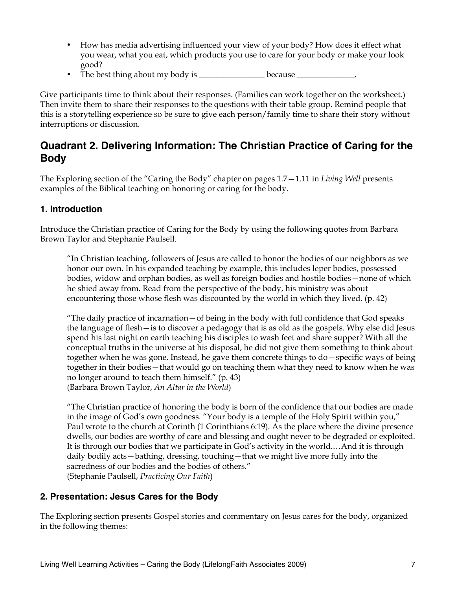- How has media advertising influenced your view of your body? How does it effect what you wear, what you eat, which products you use to care for your body or make your look good?
- The best thing about my body is \_\_\_\_\_\_\_\_\_\_\_\_\_\_\_\_\_\_\_\_\_ because \_\_\_\_\_\_\_\_\_\_\_\_\_\_\_\_

Give participants time to think about their responses. (Families can work together on the worksheet.) Then invite them to share their responses to the questions with their table group. Remind people that this is a storytelling experience so be sure to give each person/family time to share their story without interruptions or discussion.

## **Quadrant 2. Delivering Information: The Christian Practice of Caring for the Body**

The Exploring section of the "Caring the Body" chapter on pages 1.7—1.11 in *Living Well* presents examples of the Biblical teaching on honoring or caring for the body.

#### **1. Introduction**

Introduce the Christian practice of Caring for the Body by using the following quotes from Barbara Brown Taylor and Stephanie Paulsell.

"In Christian teaching, followers of Jesus are called to honor the bodies of our neighbors as we honor our own. In his expanded teaching by example, this includes leper bodies, possessed bodies, widow and orphan bodies, as well as foreign bodies and hostile bodies—none of which he shied away from. Read from the perspective of the body, his ministry was about encountering those whose flesh was discounted by the world in which they lived. (p. 42)

"The daily practice of incarnation—of being in the body with full confidence that God speaks the language of flesh—is to discover a pedagogy that is as old as the gospels. Why else did Jesus spend his last night on earth teaching his disciples to wash feet and share supper? With all the conceptual truths in the universe at his disposal, he did not give them something to think about together when he was gone. Instead, he gave them concrete things to do—specific ways of being together in their bodies—that would go on teaching them what they need to know when he was no longer around to teach them himself." (p. 43) (Barbara Brown Taylor, *An Altar in the World*)

"The Christian practice of honoring the body is born of the confidence that our bodies are made in the image of God's own goodness. "Your body is a temple of the Holy Spirit within you," Paul wrote to the church at Corinth (1 Corinthians 6:19). As the place where the divine presence dwells, our bodies are worthy of care and blessing and ought never to be degraded or exploited. It is through our bodies that we participate in God's activity in the world.…And it is through daily bodily acts—bathing, dressing, touching—that we might live more fully into the sacredness of our bodies and the bodies of others." (Stephanie Paulsell, *Practicing Our Faith*)

#### **2. Presentation: Jesus Cares for the Body**

The Exploring section presents Gospel stories and commentary on Jesus cares for the body, organized in the following themes: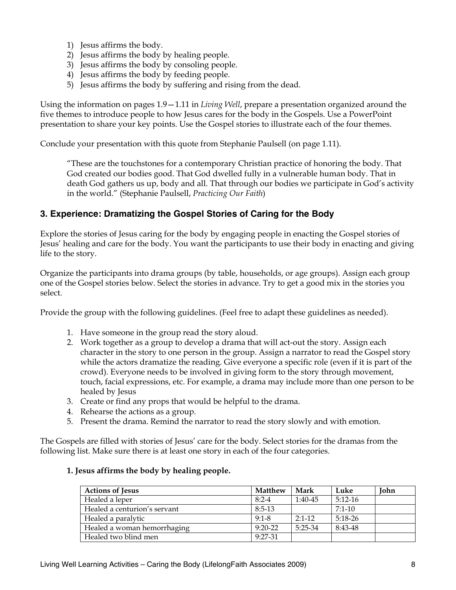- 1) Jesus affirms the body.
- 2) Jesus affirms the body by healing people.
- 3) Jesus affirms the body by consoling people.
- 4) Jesus affirms the body by feeding people.
- 5) Jesus affirms the body by suffering and rising from the dead.

Using the information on pages 1.9—1.11 in *Living Well*, prepare a presentation organized around the five themes to introduce people to how Jesus cares for the body in the Gospels. Use a PowerPoint presentation to share your key points. Use the Gospel stories to illustrate each of the four themes.

Conclude your presentation with this quote from Stephanie Paulsell (on page 1.11).

"These are the touchstones for a contemporary Christian practice of honoring the body. That God created our bodies good. That God dwelled fully in a vulnerable human body. That in death God gathers us up, body and all. That through our bodies we participate in God's activity in the world." (Stephanie Paulsell, *Practicing Our Faith*)

#### **3. Experience: Dramatizing the Gospel Stories of Caring for the Body**

Explore the stories of Jesus caring for the body by engaging people in enacting the Gospel stories of Jesus' healing and care for the body. You want the participants to use their body in enacting and giving life to the story.

Organize the participants into drama groups (by table, households, or age groups). Assign each group one of the Gospel stories below. Select the stories in advance. Try to get a good mix in the stories you select.

Provide the group with the following guidelines. (Feel free to adapt these guidelines as needed).

- 1. Have someone in the group read the story aloud.
- 2. Work together as a group to develop a drama that will act-out the story. Assign each character in the story to one person in the group. Assign a narrator to read the Gospel story while the actors dramatize the reading. Give everyone a specific role (even if it is part of the crowd). Everyone needs to be involved in giving form to the story through movement, touch, facial expressions, etc. For example, a drama may include more than one person to be healed by Jesus
- 3. Create or find any props that would be helpful to the drama.
- 4. Rehearse the actions as a group.
- 5. Present the drama. Remind the narrator to read the story slowly and with emotion.

The Gospels are filled with stories of Jesus' care for the body. Select stories for the dramas from the following list. Make sure there is at least one story in each of the four categories.

#### **1. Jesus affirms the body by healing people.**

| <b>Actions of Jesus</b>      | <b>Matthew</b> | Mark      | Luke      | John |
|------------------------------|----------------|-----------|-----------|------|
| Healed a leper               | $8:2-4$        | $1:40-45$ | $5:12-16$ |      |
| Healed a centurion's servant | $8:5-13$       |           | $7:1-10$  |      |
| Healed a paralytic           | $9:1-8$        | $2:1-12$  | $5:18-26$ |      |
| Healed a woman hemorrhaging  | $9:20-22$      | $5:25-34$ | 8:43-48   |      |
| Healed two blind men         | $9:27-31$      |           |           |      |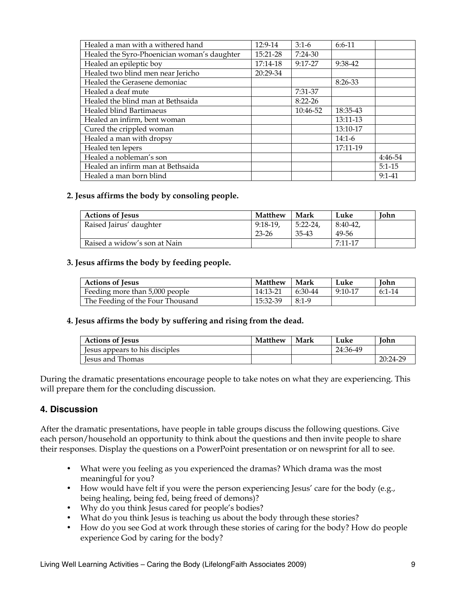| Healed a man with a withered hand           | 12:9-14  | $3:1-6$   | $6:6-11$ |            |
|---------------------------------------------|----------|-----------|----------|------------|
| Healed the Syro-Phoenician woman's daughter | 15:21-28 | $7:24-30$ |          |            |
| Healed an epileptic boy                     | 17:14-18 | $9:17-27$ | 9:38-42  |            |
| Healed two blind men near Jericho           | 20:29-34 |           |          |            |
| Healed the Gerasene demoniac                |          |           | 8:26-33  |            |
| Healed a deaf mute                          |          | 7:31-37   |          |            |
| Healed the blind man at Bethsaida           |          | $8:22-26$ |          |            |
| Healed blind Bartimaeus                     |          | 10:46-52  | 18:35-43 |            |
| Healed an infirm, bent woman                |          |           | 13:11-13 |            |
| Cured the crippled woman                    |          |           | 13:10-17 |            |
| Healed a man with dropsy                    |          |           | $14:1-6$ |            |
| Healed ten lepers                           |          |           | 17:11-19 |            |
| Healed a nobleman's son                     |          |           |          | 4:46-54    |
| Healed an infirm man at Bethsaida           |          |           |          | $5:1 - 15$ |
| Healed a man born blind                     |          |           |          | $9:1 - 41$ |

#### **2. Jesus affirms the body by consoling people.**

| <b>Actions of Jesus</b>      | Matthew   | Mark      | Luke      | <b>John</b> |
|------------------------------|-----------|-----------|-----------|-------------|
| Raised Jairus' daughter      | $9:18-19$ | $5:22-24$ | $8:40-42$ |             |
|                              | 23-26     | 35-43     | 49-56     |             |
| Raised a widow's son at Nain |           |           | $7:11-17$ |             |

#### **3. Jesus affirms the body by feeding people.**

| <b>Actions of Jesus</b>          | <b>Matthew</b> | Mark    | Luke    | John     |
|----------------------------------|----------------|---------|---------|----------|
| Feeding more than 5,000 people   | $14:13 - 21$   | 6:30-44 | 9:10-17 | $6:1-14$ |
| The Feeding of the Four Thousand | 15:32-39       | $8:1-9$ |         |          |

#### **4. Jesus affirms the body by suffering and rising from the dead.**

| <b>Actions of Jesus</b>        | <b>Matthew</b> | Mark | Luke     | John       |
|--------------------------------|----------------|------|----------|------------|
| Jesus appears to his disciples |                |      | 24:36-49 |            |
| <b>Iesus and Thomas</b>        |                |      |          | $20:24-29$ |

During the dramatic presentations encourage people to take notes on what they are experiencing. This will prepare them for the concluding discussion.

#### **4. Discussion**

After the dramatic presentations, have people in table groups discuss the following questions. Give each person/household an opportunity to think about the questions and then invite people to share their responses. Display the questions on a PowerPoint presentation or on newsprint for all to see.

- What were you feeling as you experienced the dramas? Which drama was the most meaningful for you?
- How would have felt if you were the person experiencing Jesus' care for the body (e.g., being healing, being fed, being freed of demons)?
- Why do you think Jesus cared for people's bodies?
- What do you think Jesus is teaching us about the body through these stories?
- How do you see God at work through these stories of caring for the body? How do people experience God by caring for the body?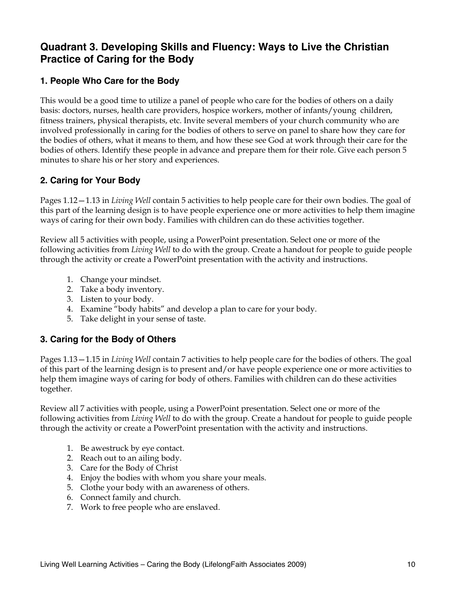# **Quadrant 3. Developing Skills and Fluency: Ways to Live the Christian Practice of Caring for the Body**

#### **1. People Who Care for the Body**

This would be a good time to utilize a panel of people who care for the bodies of others on a daily basis: doctors, nurses, health care providers, hospice workers, mother of infants/young children, fitness trainers, physical therapists, etc. Invite several members of your church community who are involved professionally in caring for the bodies of others to serve on panel to share how they care for the bodies of others, what it means to them, and how these see God at work through their care for the bodies of others. Identify these people in advance and prepare them for their role. Give each person 5 minutes to share his or her story and experiences.

#### **2. Caring for Your Body**

Pages 1.12—1.13 in *Living Well* contain 5 activities to help people care for their own bodies. The goal of this part of the learning design is to have people experience one or more activities to help them imagine ways of caring for their own body. Families with children can do these activities together.

Review all 5 activities with people, using a PowerPoint presentation. Select one or more of the following activities from *Living Well* to do with the group. Create a handout for people to guide people through the activity or create a PowerPoint presentation with the activity and instructions.

- 1. Change your mindset.
- 2. Take a body inventory.
- 3. Listen to your body.
- 4. Examine "body habits" and develop a plan to care for your body.
- 5. Take delight in your sense of taste.

#### **3. Caring for the Body of Others**

Pages 1.13—1.15 in *Living Well* contain 7 activities to help people care for the bodies of others. The goal of this part of the learning design is to present and/or have people experience one or more activities to help them imagine ways of caring for body of others. Families with children can do these activities together.

Review all 7 activities with people, using a PowerPoint presentation. Select one or more of the following activities from *Living Well* to do with the group. Create a handout for people to guide people through the activity or create a PowerPoint presentation with the activity and instructions.

- 1. Be awestruck by eye contact.
- 2. Reach out to an ailing body.
- 3. Care for the Body of Christ
- 4. Enjoy the bodies with whom you share your meals.
- 5. Clothe your body with an awareness of others.
- 6. Connect family and church.
- 7. Work to free people who are enslaved.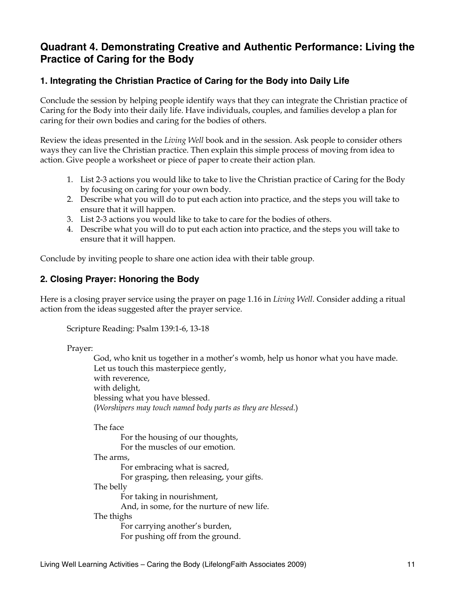## **Quadrant 4. Demonstrating Creative and Authentic Performance: Living the Practice of Caring for the Body**

#### **1. Integrating the Christian Practice of Caring for the Body into Daily Life**

Conclude the session by helping people identify ways that they can integrate the Christian practice of Caring for the Body into their daily life. Have individuals, couples, and families develop a plan for caring for their own bodies and caring for the bodies of others.

Review the ideas presented in the *Living Well* book and in the session. Ask people to consider others ways they can live the Christian practice. Then explain this simple process of moving from idea to action. Give people a worksheet or piece of paper to create their action plan.

- 1. List 2-3 actions you would like to take to live the Christian practice of Caring for the Body by focusing on caring for your own body.
- 2. Describe what you will do to put each action into practice, and the steps you will take to ensure that it will happen.
- 3. List 2-3 actions you would like to take to care for the bodies of others.
- 4. Describe what you will do to put each action into practice, and the steps you will take to ensure that it will happen.

Conclude by inviting people to share one action idea with their table group.

#### **2. Closing Prayer: Honoring the Body**

Here is a closing prayer service using the prayer on page 1.16 in *Living Well*. Consider adding a ritual action from the ideas suggested after the prayer service.

Scripture Reading: Psalm 139:1-6, 13-18

Prayer:

God, who knit us together in a mother's womb, help us honor what you have made. Let us touch this masterpiece gently, with reverence, with delight, blessing what you have blessed. (*Worshipers may touch named body parts as they are blessed*.)

The face

For the housing of our thoughts, For the muscles of our emotion. The arms, For embracing what is sacred, For grasping, then releasing, your gifts. The belly For taking in nourishment, And, in some, for the nurture of new life. The thighs For carrying another's burden, For pushing off from the ground.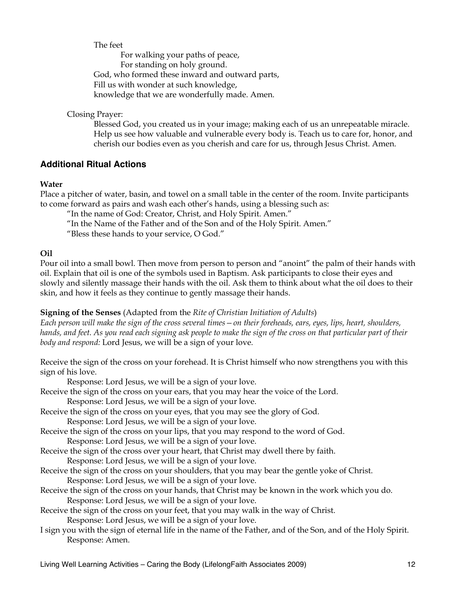#### The feet

For walking your paths of peace, For standing on holy ground. God, who formed these inward and outward parts, Fill us with wonder at such knowledge, knowledge that we are wonderfully made. Amen.

#### Closing Prayer:

Blessed God, you created us in your image; making each of us an unrepeatable miracle. Help us see how valuable and vulnerable every body is. Teach us to care for, honor, and cherish our bodies even as you cherish and care for us, through Jesus Christ. Amen.

#### **Additional Ritual Actions**

#### **Water**

Place a pitcher of water, basin, and towel on a small table in the center of the room. Invite participants to come forward as pairs and wash each other's hands, using a blessing such as:

- "In the name of God: Creator, Christ, and Holy Spirit. Amen."
- "In the Name of the Father and of the Son and of the Holy Spirit. Amen."
- "Bless these hands to your service, O God."

#### **Oil**

Pour oil into a small bowl. Then move from person to person and "anoint" the palm of their hands with oil. Explain that oil is one of the symbols used in Baptism. Ask participants to close their eyes and slowly and silently massage their hands with the oil. Ask them to think about what the oil does to their skin, and how it feels as they continue to gently massage their hands.

#### **Signing of the Senses** (Adapted from the *Rite of Christian Initiation of Adults*)

*Each person will make the sign of the cross several times—on their foreheads, ears, eyes, lips, heart, shoulders, hands, and feet. As you read each signing ask people to make the sign of the cross on that particular part of their body and respond:* Lord Jesus, we will be a sign of your love*.* 

Receive the sign of the cross on your forehead. It is Christ himself who now strengthens you with this sign of his love.

Response: Lord Jesus, we will be a sign of your love.

- Receive the sign of the cross on your ears, that you may hear the voice of the Lord. Response: Lord Jesus, we will be a sign of your love.
- Receive the sign of the cross on your eyes, that you may see the glory of God.

Response: Lord Jesus, we will be a sign of your love.

- Receive the sign of the cross on your lips, that you may respond to the word of God. Response: Lord Jesus, we will be a sign of your love.
- Receive the sign of the cross over your heart, that Christ may dwell there by faith. Response: Lord Jesus, we will be a sign of your love.
- Receive the sign of the cross on your shoulders, that you may bear the gentle yoke of Christ. Response: Lord Jesus, we will be a sign of your love.
- Receive the sign of the cross on your hands, that Christ may be known in the work which you do. Response: Lord Jesus, we will be a sign of your love.
- Receive the sign of the cross on your feet, that you may walk in the way of Christ.
	- Response: Lord Jesus, we will be a sign of your love.
- I sign you with the sign of eternal life in the name of the Father, and of the Son, and of the Holy Spirit. Response: Amen.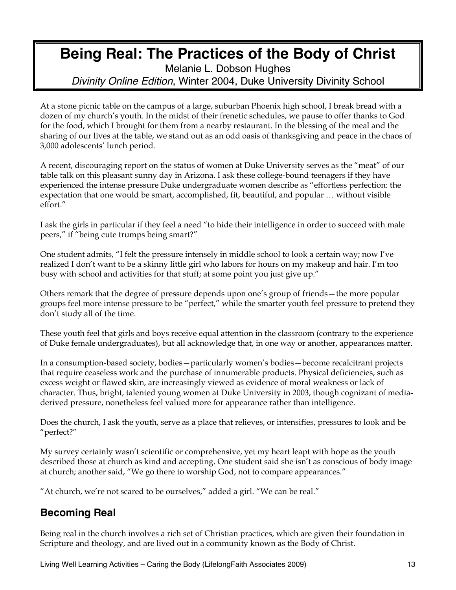# **Being Real: The Practices of the Body of Christ**

Melanie L. Dobson Hughes *Divinity Online Edition*, Winter 2004, Duke University Divinity School

At a stone picnic table on the campus of a large, suburban Phoenix high school, I break bread with a dozen of my church's youth. In the midst of their frenetic schedules, we pause to offer thanks to God for the food, which I brought for them from a nearby restaurant. In the blessing of the meal and the sharing of our lives at the table, we stand out as an odd oasis of thanksgiving and peace in the chaos of 3,000 adolescents' lunch period.

A recent, discouraging report on the status of women at Duke University serves as the "meat" of our table talk on this pleasant sunny day in Arizona. I ask these college-bound teenagers if they have experienced the intense pressure Duke undergraduate women describe as "effortless perfection: the expectation that one would be smart, accomplished, fit, beautiful, and popular … without visible effort."

I ask the girls in particular if they feel a need "to hide their intelligence in order to succeed with male peers," if "being cute trumps being smart?"

One student admits, "I felt the pressure intensely in middle school to look a certain way; now I've realized I don't want to be a skinny little girl who labors for hours on my makeup and hair. I'm too busy with school and activities for that stuff; at some point you just give up."

Others remark that the degree of pressure depends upon one's group of friends—the more popular groups feel more intense pressure to be "perfect," while the smarter youth feel pressure to pretend they don't study all of the time.

These youth feel that girls and boys receive equal attention in the classroom (contrary to the experience of Duke female undergraduates), but all acknowledge that, in one way or another, appearances matter.

In a consumption-based society, bodies—particularly women's bodies—become recalcitrant projects that require ceaseless work and the purchase of innumerable products. Physical deficiencies, such as excess weight or flawed skin, are increasingly viewed as evidence of moral weakness or lack of character. Thus, bright, talented young women at Duke University in 2003, though cognizant of mediaderived pressure, nonetheless feel valued more for appearance rather than intelligence.

Does the church, I ask the youth, serve as a place that relieves, or intensifies, pressures to look and be "perfect?"

My survey certainly wasn't scientific or comprehensive, yet my heart leapt with hope as the youth described those at church as kind and accepting. One student said she isn't as conscious of body image at church; another said, "We go there to worship God, not to compare appearances."

"At church, we're not scared to be ourselves," added a girl. "We can be real."

# **Becoming Real**

Being real in the church involves a rich set of Christian practices, which are given their foundation in Scripture and theology, and are lived out in a community known as the Body of Christ.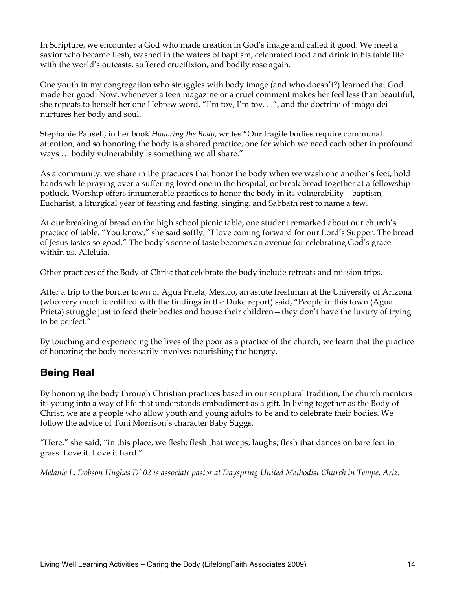In Scripture, we encounter a God who made creation in God's image and called it good. We meet a savior who became flesh, washed in the waters of baptism, celebrated food and drink in his table life with the world's outcasts, suffered crucifixion, and bodily rose again.

One youth in my congregation who struggles with body image (and who doesn't?) learned that God made her good. Now, whenever a teen magazine or a cruel comment makes her feel less than beautiful, she repeats to herself her one Hebrew word, "I'm tov, I'm tov. . .", and the doctrine of imago dei nurtures her body and soul.

Stephanie Pausell, in her book *Honoring the Body*, writes "Our fragile bodies require communal attention, and so honoring the body is a shared practice, one for which we need each other in profound ways … bodily vulnerability is something we all share."

As a community, we share in the practices that honor the body when we wash one another's feet, hold hands while praying over a suffering loved one in the hospital, or break bread together at a fellowship potluck. Worship offers innumerable practices to honor the body in its vulnerability—baptism, Eucharist, a liturgical year of feasting and fasting, singing, and Sabbath rest to name a few.

At our breaking of bread on the high school picnic table, one student remarked about our church's practice of table. "You know," she said softly, "I love coming forward for our Lord's Supper. The bread of Jesus tastes so good." The body's sense of taste becomes an avenue for celebrating God's grace within us. Alleluia.

Other practices of the Body of Christ that celebrate the body include retreats and mission trips.

After a trip to the border town of Agua Prieta, Mexico, an astute freshman at the University of Arizona (who very much identified with the findings in the Duke report) said, "People in this town (Agua Prieta) struggle just to feed their bodies and house their children—they don't have the luxury of trying to be perfect."

By touching and experiencing the lives of the poor as a practice of the church, we learn that the practice of honoring the body necessarily involves nourishing the hungry.

# **Being Real**

By honoring the body through Christian practices based in our scriptural tradition, the church mentors its young into a way of life that understands embodiment as a gift. In living together as the Body of Christ, we are a people who allow youth and young adults to be and to celebrate their bodies. We follow the advice of Toni Morrison's character Baby Suggs.

"Here," she said, "in this place, we flesh; flesh that weeps, laughs; flesh that dances on bare feet in grass. Love it. Love it hard."

*Melanie L. Dobson Hughes D' 02 is associate pastor at Dayspring United Methodist Church in Tempe, Ariz.*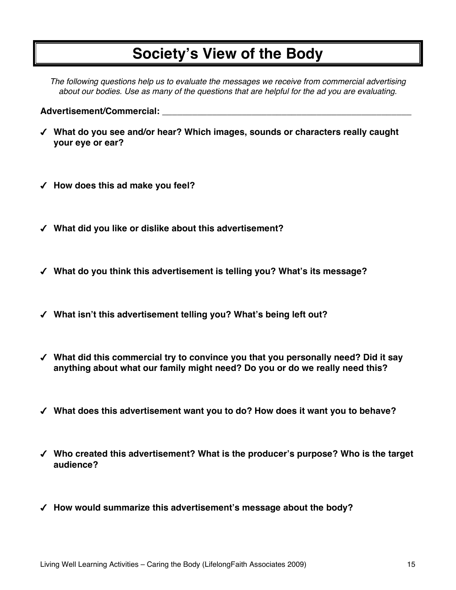# **Society's View of the Body**

*The following questions help us to evaluate the messages we receive from commercial advertising about our bodies. Use as many of the questions that are helpful for the ad you are evaluating.*

#### **Advertisement/Commercial: \_\_\_\_\_\_\_\_\_\_\_\_\_\_\_\_\_\_\_\_\_\_\_\_\_\_\_\_\_\_\_\_\_\_\_\_\_\_\_\_\_\_\_\_\_\_\_\_\_\_**

- **What do you see and/or hear? Which images, sounds or characters really caught your eye or ear?**
- **How does this ad make you feel?**
- **What did you like or dislike about this advertisement?**
- **What do you think this advertisement is telling you? What's its message?**
- **What isn't this advertisement telling you? What's being left out?**
- **What did this commercial try to convince you that you personally need? Did it say anything about what our family might need? Do you or do we really need this?**
- **What does this advertisement want you to do? How does it want you to behave?**
- **Who created this advertisement? What is the producer's purpose? Who is the target audience?**
- **How would summarize this advertisement's message about the body?**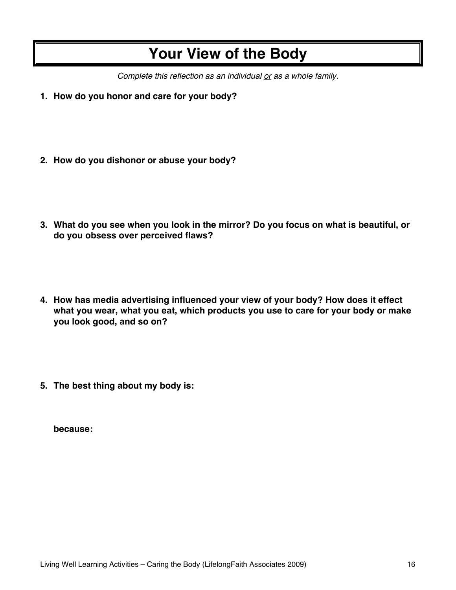# **Your View of the Body**

*Complete this reflection as an individual or as a whole family.*

- **1. How do you honor and care for your body?**
- **2. How do you dishonor or abuse your body?**
- **3. What do you see when you look in the mirror? Do you focus on what is beautiful, or do you obsess over perceived flaws?**
- **4. How has media advertising influenced your view of your body? How does it effect what you wear, what you eat, which products you use to care for your body or make you look good, and so on?**
- **5. The best thing about my body is:**

**because:**